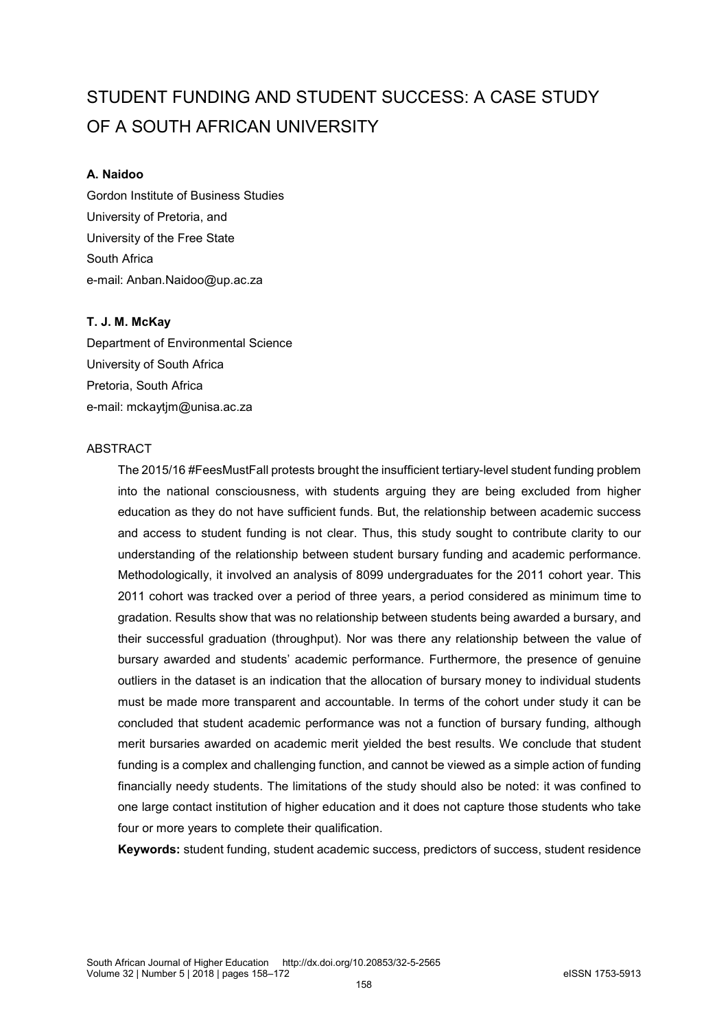# STUDENT FUNDING AND STUDENT SUCCESS: A CASE STUDY OF A SOUTH AFRICAN UNIVERSITY

#### **A. Naidoo**

Gordon Institute of Business Studies University of Pretoria, and University of the Free State South Africa e-mail: Anban.Naidoo@up.ac.za

#### **T. J. M. McKay**

Department of Environmental Science University of South Africa Pretoria, South Africa e-mail: mckaytjm@unisa.ac.za

#### ABSTRACT

The 2015/16 #FeesMustFall protests brought the insufficient tertiary-level student funding problem into the national consciousness, with students arguing they are being excluded from higher education as they do not have sufficient funds. But, the relationship between academic success and access to student funding is not clear. Thus, this study sought to contribute clarity to our understanding of the relationship between student bursary funding and academic performance. Methodologically, it involved an analysis of 8099 undergraduates for the 2011 cohort year. This 2011 cohort was tracked over a period of three years, a period considered as minimum time to gradation. Results show that was no relationship between students being awarded a bursary, and their successful graduation (throughput). Nor was there any relationship between the value of bursary awarded and students' academic performance. Furthermore, the presence of genuine outliers in the dataset is an indication that the allocation of bursary money to individual students must be made more transparent and accountable. In terms of the cohort under study it can be concluded that student academic performance was not a function of bursary funding, although merit bursaries awarded on academic merit yielded the best results. We conclude that student funding is a complex and challenging function, and cannot be viewed as a simple action of funding financially needy students. The limitations of the study should also be noted: it was confined to one large contact institution of higher education and it does not capture those students who take four or more years to complete their qualification.

**Keywords:** student funding, student academic success, predictors of success, student residence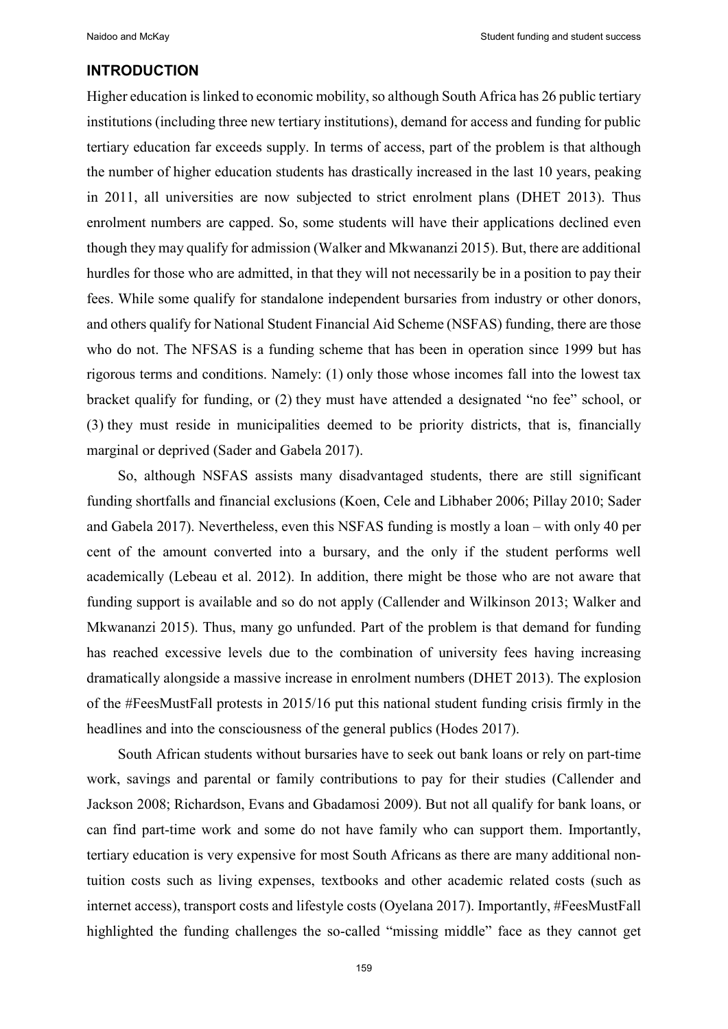#### **INTRODUCTION**

Higher education is linked to economic mobility, so although South Africa has 26 public tertiary institutions (including three new tertiary institutions), demand for access and funding for public tertiary education far exceeds supply. In terms of access, part of the problem is that although the number of higher education students has drastically increased in the last 10 years, peaking in 2011, all universities are now subjected to strict enrolment plans (DHET 2013). Thus enrolment numbers are capped. So, some students will have their applications declined even though they may qualify for admission (Walker and Mkwananzi 2015). But, there are additional hurdles for those who are admitted, in that they will not necessarily be in a position to pay their fees. While some qualify for standalone independent bursaries from industry or other donors, and others qualify for National Student Financial Aid Scheme (NSFAS) funding, there are those who do not. The NFSAS is a funding scheme that has been in operation since 1999 but has rigorous terms and conditions. Namely: (1) only those whose incomes fall into the lowest tax bracket qualify for funding, or (2) they must have attended a designated "no fee" school, or (3) they must reside in municipalities deemed to be priority districts, that is, financially marginal or deprived (Sader and Gabela 2017).

So, although NSFAS assists many disadvantaged students, there are still significant funding shortfalls and financial exclusions (Koen, Cele and Libhaber 2006; Pillay 2010; Sader and Gabela 2017). Nevertheless, even this NSFAS funding is mostly a loan – with only 40 per cent of the amount converted into a bursary, and the only if the student performs well academically (Lebeau et al. 2012). In addition, there might be those who are not aware that funding support is available and so do not apply (Callender and Wilkinson 2013; Walker and Mkwananzi 2015). Thus, many go unfunded. Part of the problem is that demand for funding has reached excessive levels due to the combination of university fees having increasing dramatically alongside a massive increase in enrolment numbers (DHET 2013). The explosion of the #FeesMustFall protests in 2015/16 put this national student funding crisis firmly in the headlines and into the consciousness of the general publics (Hodes 2017).

South African students without bursaries have to seek out bank loans or rely on part-time work, savings and parental or family contributions to pay for their studies (Callender and Jackson 2008; Richardson, Evans and Gbadamosi 2009). But not all qualify for bank loans, or can find part-time work and some do not have family who can support them. Importantly, tertiary education is very expensive for most South Africans as there are many additional nontuition costs such as living expenses, textbooks and other academic related costs (such as internet access), transport costs and lifestyle costs (Oyelana 2017). Importantly, #FeesMustFall highlighted the funding challenges the so-called "missing middle" face as they cannot get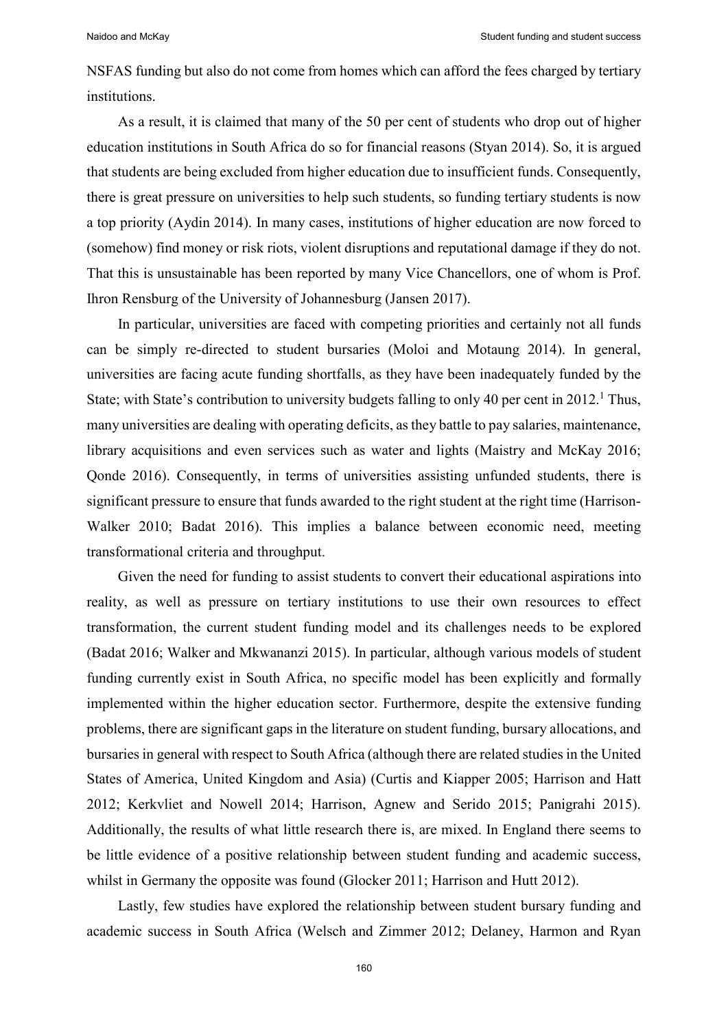NSFAS funding but also do not come from homes which can afford the fees charged by tertiary institutions.

As a result, it is claimed that many of the 50 per cent of students who drop out of higher education institutions in South Africa do so for financial reasons (Styan 2014). So, it is argued that students are being excluded from higher education due to insufficient funds. Consequently, there is great pressure on universities to help such students, so funding tertiary students is now a top priority (Aydin 2014). In many cases, institutions of higher education are now forced to (somehow) find money or risk riots, violent disruptions and reputational damage if they do not. That this is unsustainable has been reported by many Vice Chancellors, one of whom is Prof. Ihron Rensburg of the University of Johannesburg (Jansen 2017).

In particular, universities are faced with competing priorities and certainly not all funds can be simply re-directed to student bursaries (Moloi and Motaung 2014). In general, universities are facing acute funding shortfalls, as they have been inadequately funded by the State; with State's contribution to university budgets falling to only 40 per cent in  $2012<sup>1</sup>$ . Thus, many universities are dealing with operating deficits, as they battle to pay salaries, maintenance, library acquisitions and even services such as water and lights (Maistry and McKay 2016; Qonde 2016). Consequently, in terms of universities assisting unfunded students, there is significant pressure to ensure that funds awarded to the right student at the right time (Harrison-Walker 2010; Badat 2016). This implies a balance between economic need, meeting transformational criteria and throughput.

Given the need for funding to assist students to convert their educational aspirations into reality, as well as pressure on tertiary institutions to use their own resources to effect transformation, the current student funding model and its challenges needs to be explored (Badat 2016; Walker and Mkwananzi 2015). In particular, although various models of student funding currently exist in South Africa, no specific model has been explicitly and formally implemented within the higher education sector. Furthermore, despite the extensive funding problems, there are significant gaps in the literature on student funding, bursary allocations, and bursaries in general with respect to South Africa (although there are related studies in the United States of America, United Kingdom and Asia) (Curtis and Kiapper 2005; Harrison and Hatt 2012; Kerkvliet and Nowell 2014; Harrison, Agnew and Serido 2015; Panigrahi 2015). Additionally, the results of what little research there is, are mixed. In England there seems to be little evidence of a positive relationship between student funding and academic success, whilst in Germany the opposite was found (Glocker 2011; Harrison and Hutt 2012).

Lastly, few studies have explored the relationship between student bursary funding and academic success in South Africa (Welsch and Zimmer 2012; Delaney, Harmon and Ryan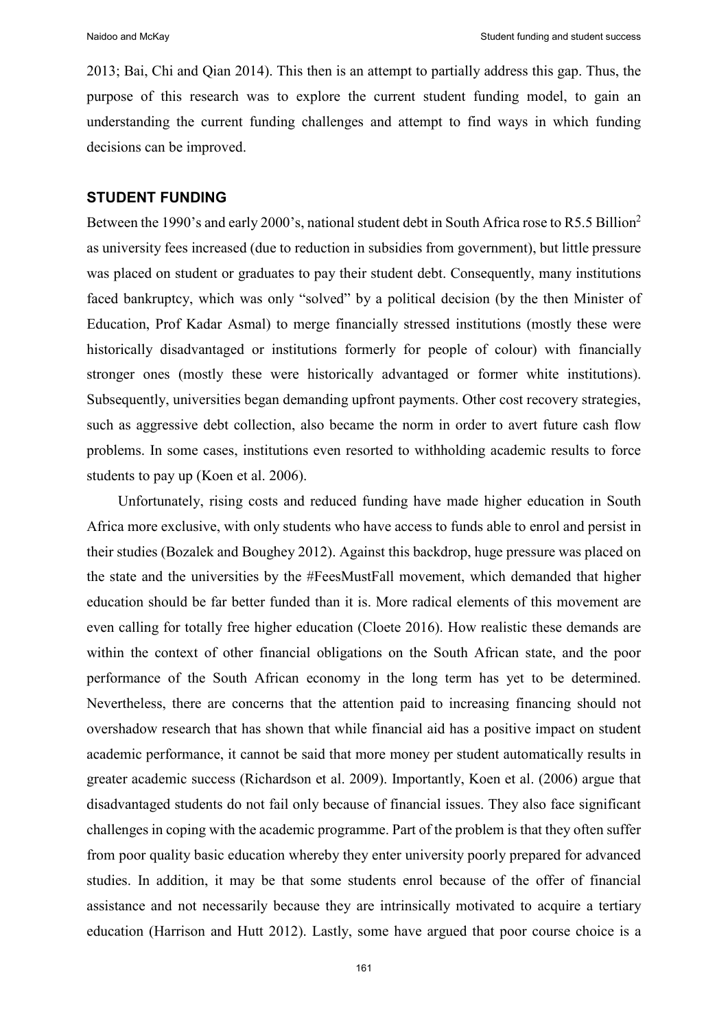2013; Bai, Chi and Qian 2014). This then is an attempt to partially address this gap. Thus, the purpose of this research was to explore the current student funding model, to gain an understanding the current funding challenges and attempt to find ways in which funding decisions can be improved.

#### **STUDENT FUNDING**

Between the 1990's and early 2000's, national student debt in South Africa rose to R5.5 Billion<sup>2</sup> as university fees increased (due to reduction in subsidies from government), but little pressure was placed on student or graduates to pay their student debt. Consequently, many institutions faced bankruptcy, which was only "solved" by a political decision (by the then Minister of Education, Prof Kadar Asmal) to merge financially stressed institutions (mostly these were historically disadvantaged or institutions formerly for people of colour) with financially stronger ones (mostly these were historically advantaged or former white institutions). Subsequently, universities began demanding upfront payments. Other cost recovery strategies, such as aggressive debt collection, also became the norm in order to avert future cash flow problems. In some cases, institutions even resorted to withholding academic results to force students to pay up (Koen et al. 2006).

Unfortunately, rising costs and reduced funding have made higher education in South Africa more exclusive, with only students who have access to funds able to enrol and persist in their studies (Bozalek and Boughey 2012). Against this backdrop, huge pressure was placed on the state and the universities by the #FeesMustFall movement, which demanded that higher education should be far better funded than it is. More radical elements of this movement are even calling for totally free higher education (Cloete 2016). How realistic these demands are within the context of other financial obligations on the South African state, and the poor performance of the South African economy in the long term has yet to be determined. Nevertheless, there are concerns that the attention paid to increasing financing should not overshadow research that has shown that while financial aid has a positive impact on student academic performance, it cannot be said that more money per student automatically results in greater academic success (Richardson et al. 2009). Importantly, Koen et al. (2006) argue that disadvantaged students do not fail only because of financial issues. They also face significant challenges in coping with the academic programme. Part of the problem is that they often suffer from poor quality basic education whereby they enter university poorly prepared for advanced studies. In addition, it may be that some students enrol because of the offer of financial assistance and not necessarily because they are intrinsically motivated to acquire a tertiary education (Harrison and Hutt 2012). Lastly, some have argued that poor course choice is a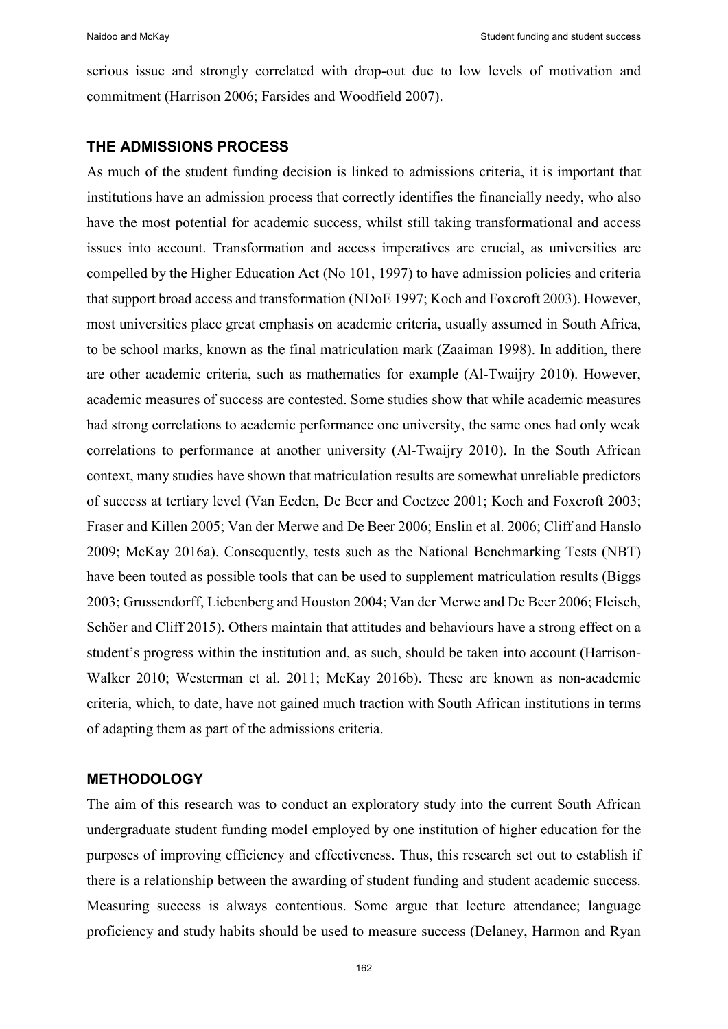serious issue and strongly correlated with drop-out due to low levels of motivation and commitment (Harrison 2006; Farsides and Woodfield 2007).

### **THE ADMISSIONS PROCESS**

As much of the student funding decision is linked to admissions criteria, it is important that institutions have an admission process that correctly identifies the financially needy, who also have the most potential for academic success, whilst still taking transformational and access issues into account. Transformation and access imperatives are crucial, as universities are compelled by the Higher Education Act (No 101, 1997) to have admission policies and criteria that support broad access and transformation (NDoE 1997; Koch and Foxcroft 2003). However, most universities place great emphasis on academic criteria, usually assumed in South Africa, to be school marks, known as the final matriculation mark (Zaaiman 1998). In addition, there are other academic criteria, such as mathematics for example (Al-Twaijry 2010). However, academic measures of success are contested. Some studies show that while academic measures had strong correlations to academic performance one university, the same ones had only weak correlations to performance at another university (Al-Twaijry 2010). In the South African context, many studies have shown that matriculation results are somewhat unreliable predictors of success at tertiary level (Van Eeden, De Beer and Coetzee 2001; Koch and Foxcroft 2003; Fraser and Killen 2005; Van der Merwe and De Beer 2006; Enslin et al. 2006; Cliff and Hanslo 2009; McKay 2016a). Consequently, tests such as the National Benchmarking Tests (NBT) have been touted as possible tools that can be used to supplement matriculation results (Biggs 2003; Grussendorff, Liebenberg and Houston 2004; Van der Merwe and De Beer 2006; Fleisch, Schöer and Cliff 2015). Others maintain that attitudes and behaviours have a strong effect on a student's progress within the institution and, as such, should be taken into account (Harrison-Walker 2010; Westerman et al. 2011; McKay 2016b). These are known as non-academic criteria, which, to date, have not gained much traction with South African institutions in terms of adapting them as part of the admissions criteria.

#### **METHODOLOGY**

The aim of this research was to conduct an exploratory study into the current South African undergraduate student funding model employed by one institution of higher education for the purposes of improving efficiency and effectiveness. Thus, this research set out to establish if there is a relationship between the awarding of student funding and student academic success. Measuring success is always contentious. Some argue that lecture attendance; language proficiency and study habits should be used to measure success (Delaney, Harmon and Ryan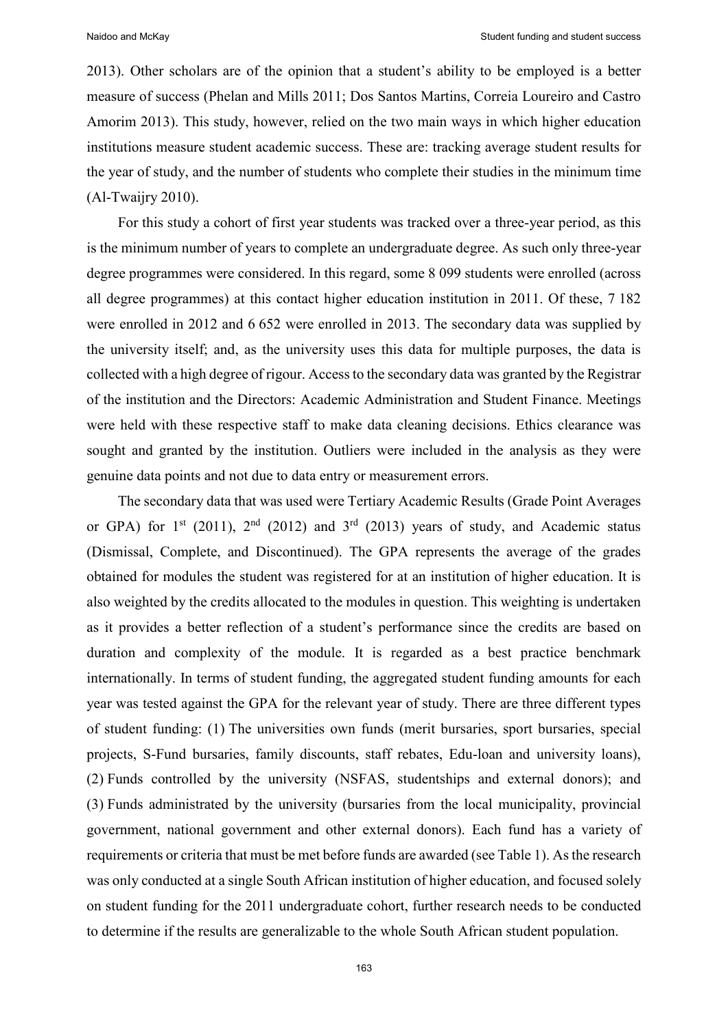2013). Other scholars are of the opinion that a student's ability to be employed is a better measure of success (Phelan and Mills 2011; Dos Santos Martins, Correia Loureiro and Castro Amorim 2013). This study, however, relied on the two main ways in which higher education institutions measure student academic success. These are: tracking average student results for the year of study, and the number of students who complete their studies in the minimum time (Al-Twaijry 2010).

For this study a cohort of first year students was tracked over a three-year period, as this is the minimum number of years to complete an undergraduate degree. As such only three-year degree programmes were considered. In this regard, some 8 099 students were enrolled (across all degree programmes) at this contact higher education institution in 2011. Of these, 7 182 were enrolled in 2012 and 6 652 were enrolled in 2013. The secondary data was supplied by the university itself; and, as the university uses this data for multiple purposes, the data is collected with a high degree of rigour. Access to the secondary data was granted by the Registrar of the institution and the Directors: Academic Administration and Student Finance. Meetings were held with these respective staff to make data cleaning decisions. Ethics clearance was sought and granted by the institution. Outliers were included in the analysis as they were genuine data points and not due to data entry or measurement errors.

The secondary data that was used were Tertiary Academic Results (Grade Point Averages or GPA) for  $1<sup>st</sup>$  (2011),  $2<sup>nd</sup>$  (2012) and  $3<sup>rd</sup>$  (2013) years of study, and Academic status (Dismissal, Complete, and Discontinued). The GPA represents the average of the grades obtained for modules the student was registered for at an institution of higher education. It is also weighted by the credits allocated to the modules in question. This weighting is undertaken as it provides a better reflection of a student's performance since the credits are based on duration and complexity of the module. It is regarded as a best practice benchmark internationally. In terms of student funding, the aggregated student funding amounts for each year was tested against the GPA for the relevant year of study. There are three different types of student funding: (1) The universities own funds (merit bursaries, sport bursaries, special projects, S-Fund bursaries, family discounts, staff rebates, Edu-loan and university loans), (2) Funds controlled by the university (NSFAS, studentships and external donors); and (3) Funds administrated by the university (bursaries from the local municipality, provincial government, national government and other external donors). Each fund has a variety of requirements or criteria that must be met before funds are awarded (see Table 1). Asthe research was only conducted at a single South African institution of higher education, and focused solely on student funding for the 2011 undergraduate cohort, further research needs to be conducted to determine if the results are generalizable to the whole South African student population.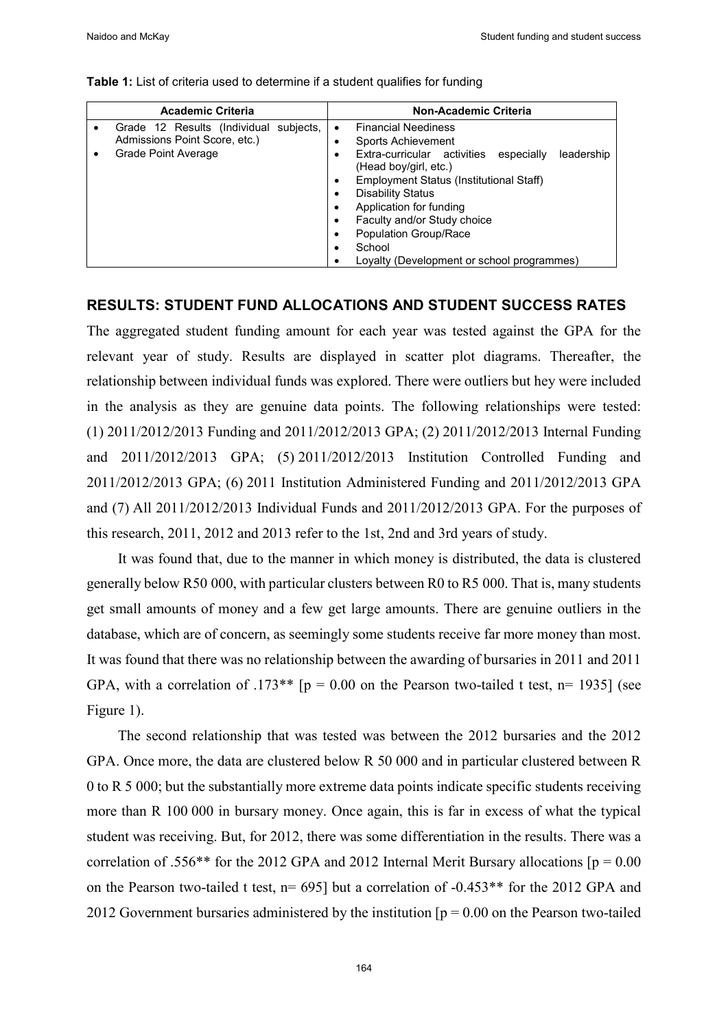| <b>Academic Criteria</b>                                                                       | <b>Non-Academic Criteria</b>                                                                                                                                                                                                                                                                                                                           |
|------------------------------------------------------------------------------------------------|--------------------------------------------------------------------------------------------------------------------------------------------------------------------------------------------------------------------------------------------------------------------------------------------------------------------------------------------------------|
| Grade 12 Results (Individual subjects,<br>Admissions Point Score, etc.)<br>Grade Point Average | <b>Financial Neediness</b><br>Sports Achievement<br>Extra-curricular activities<br>leadership<br>especially<br>(Head boy/girl, etc.)<br>Employment Status (Institutional Staff)<br><b>Disability Status</b><br>Application for funding<br>Faculty and/or Study choice<br>Population Group/Race<br>School<br>Lovalty (Development or school programmes) |

**Table 1:** List of criteria used to determine if a student qualifies for funding

#### **RESULTS: STUDENT FUND ALLOCATIONS AND STUDENT SUCCESS RATES**

The aggregated student funding amount for each year was tested against the GPA for the relevant year of study. Results are displayed in scatter plot diagrams. Thereafter, the relationship between individual funds was explored. There were outliers but hey were included in the analysis as they are genuine data points. The following relationships were tested: (1) 2011/2012/2013 Funding and 2011/2012/2013 GPA; (2) 2011/2012/2013 Internal Funding and 2011/2012/2013 GPA; (5) 2011/2012/2013 Institution Controlled Funding and 2011/2012/2013 GPA; (6) 2011 Institution Administered Funding and 2011/2012/2013 GPA and (7) All 2011/2012/2013 Individual Funds and 2011/2012/2013 GPA. For the purposes of this research, 2011, 2012 and 2013 refer to the 1st, 2nd and 3rd years of study.

It was found that, due to the manner in which money is distributed, the data is clustered generally below R50 000, with particular clusters between R0 to R5 000. That is, many students get small amounts of money and a few get large amounts. There are genuine outliers in the database, which are of concern, as seemingly some students receive far more money than most. It was found that there was no relationship between the awarding of bursaries in 2011 and 2011 GPA, with a correlation of .173\*\*  $[p = 0.00$  on the Pearson two-tailed t test, n= 1935] (see Figure 1).

The second relationship that was tested was between the 2012 bursaries and the 2012 GPA. Once more, the data are clustered below R 50 000 and in particular clustered between R 0 to R 5 000; but the substantially more extreme data points indicate specific students receiving more than R 100 000 in bursary money. Once again, this is far in excess of what the typical student was receiving. But, for 2012, there was some differentiation in the results. There was a correlation of .556\*\* for the 2012 GPA and 2012 Internal Merit Bursary allocations  $[p = 0.00]$ on the Pearson two-tailed t test, n= 695] but a correlation of -0.453\*\* for the 2012 GPA and 2012 Government bursaries administered by the institution  $[p = 0.00]$  on the Pearson two-tailed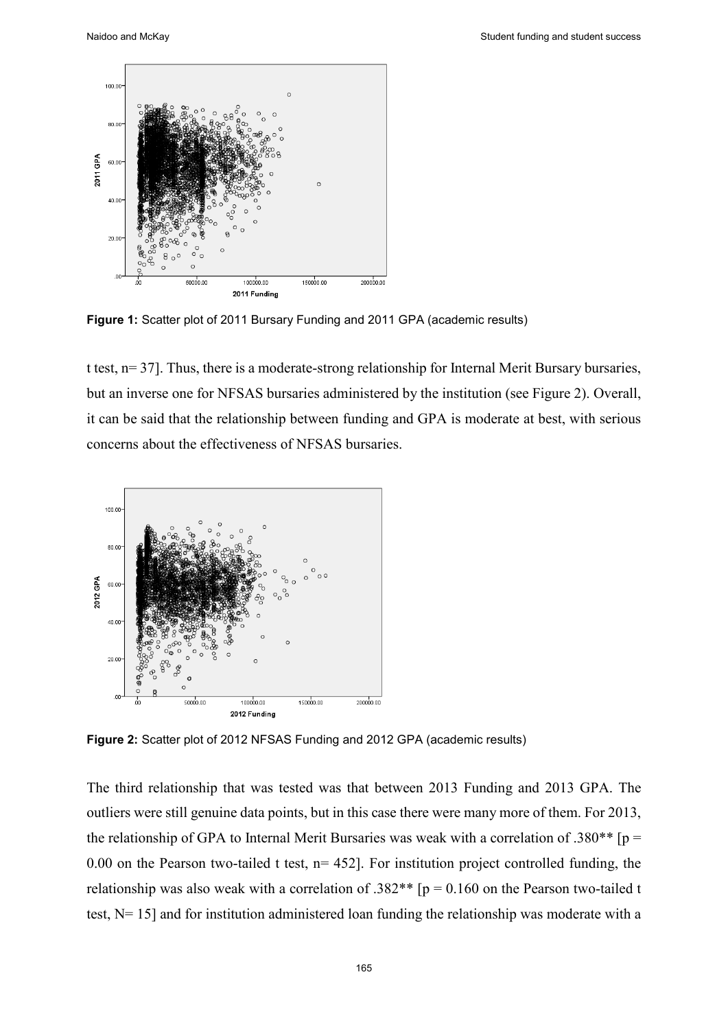

**Figure 1:** Scatter plot of 2011 Bursary Funding and 2011 GPA (academic results)

t test, n= 37]. Thus, there is a moderate-strong relationship for Internal Merit Bursary bursaries, but an inverse one for NFSAS bursaries administered by the institution (see Figure 2). Overall, it can be said that the relationship between funding and GPA is moderate at best, with serious concerns about the effectiveness of NFSAS bursaries.



**Figure 2:** Scatter plot of 2012 NFSAS Funding and 2012 GPA (academic results)

The third relationship that was tested was that between 2013 Funding and 2013 GPA. The outliers were still genuine data points, but in this case there were many more of them. For 2013, the relationship of GPA to Internal Merit Bursaries was weak with a correlation of .380\*\* [p = 0.00 on the Pearson two-tailed t test,  $n= 452$ . For institution project controlled funding, the relationship was also weak with a correlation of .382\*\*  $[p = 0.160$  on the Pearson two-tailed t test, N= 15] and for institution administered loan funding the relationship was moderate with a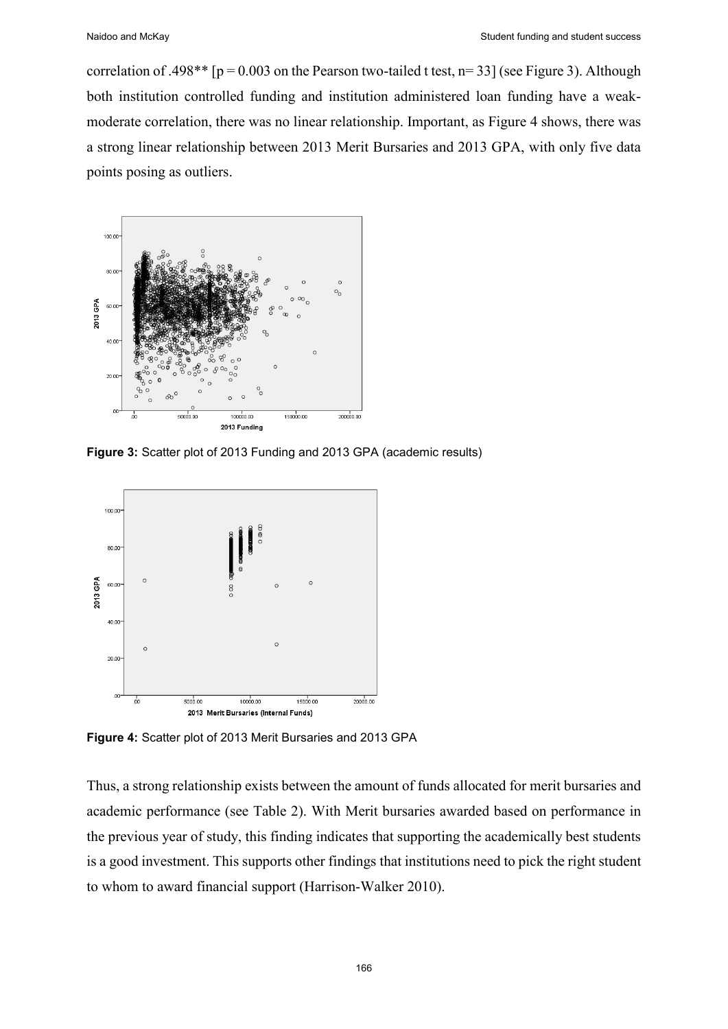correlation of .498\*\* [ $p = 0.003$  on the Pearson two-tailed t test,  $n=33$ ] (see Figure 3). Although both institution controlled funding and institution administered loan funding have a weakmoderate correlation, there was no linear relationship. Important, as Figure 4 shows, there was a strong linear relationship between 2013 Merit Bursaries and 2013 GPA, with only five data points posing as outliers.



**Figure 3:** Scatter plot of 2013 Funding and 2013 GPA (academic results)



**Figure 4:** Scatter plot of 2013 Merit Bursaries and 2013 GPA

Thus, a strong relationship exists between the amount of funds allocated for merit bursaries and academic performance (see Table 2). With Merit bursaries awarded based on performance in the previous year of study, this finding indicates that supporting the academically best students is a good investment. This supports other findings that institutions need to pick the right student to whom to award financial support (Harrison-Walker 2010).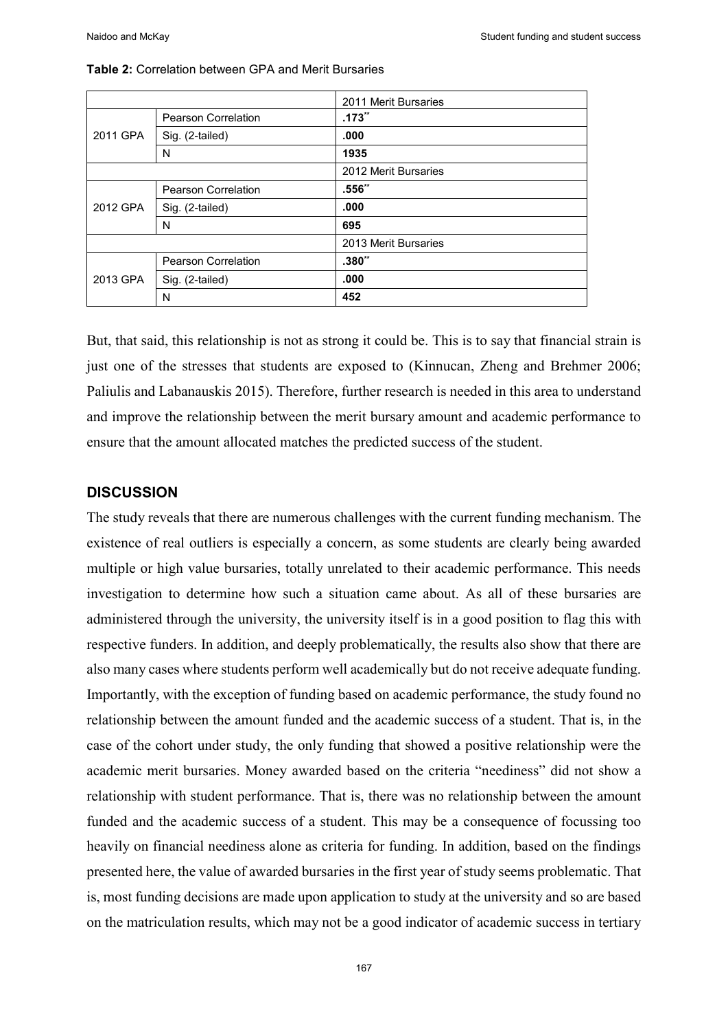|          |                            | 2011 Merit Bursaries |
|----------|----------------------------|----------------------|
| 2011 GPA | <b>Pearson Correlation</b> | $.173**$             |
|          | Sig. (2-tailed)            | .000                 |
|          | N                          | 1935                 |
|          |                            | 2012 Merit Bursaries |
| 2012 GPA | <b>Pearson Correlation</b> | $.556**$             |
|          | Sig. (2-tailed)            | .000                 |
|          | N                          | 695                  |
|          |                            | 2013 Merit Bursaries |
| 2013 GPA | <b>Pearson Correlation</b> | $.380**$             |
|          | Sig. (2-tailed)            | .000                 |
|          | N                          | 452                  |

#### **Table 2:** Correlation between GPA and Merit Bursaries

But, that said, this relationship is not as strong it could be. This is to say that financial strain is just one of the stresses that students are exposed to (Kinnucan, Zheng and Brehmer 2006; Paliulis and Labanauskis 2015). Therefore, further research is needed in this area to understand and improve the relationship between the merit bursary amount and academic performance to ensure that the amount allocated matches the predicted success of the student.

#### **DISCUSSION**

The study reveals that there are numerous challenges with the current funding mechanism. The existence of real outliers is especially a concern, as some students are clearly being awarded multiple or high value bursaries, totally unrelated to their academic performance. This needs investigation to determine how such a situation came about. As all of these bursaries are administered through the university, the university itself is in a good position to flag this with respective funders. In addition, and deeply problematically, the results also show that there are also many cases where students perform well academically but do not receive adequate funding. Importantly, with the exception of funding based on academic performance, the study found no relationship between the amount funded and the academic success of a student. That is, in the case of the cohort under study, the only funding that showed a positive relationship were the academic merit bursaries. Money awarded based on the criteria "neediness" did not show a relationship with student performance. That is, there was no relationship between the amount funded and the academic success of a student. This may be a consequence of focussing too heavily on financial neediness alone as criteria for funding. In addition, based on the findings presented here, the value of awarded bursaries in the first year of study seems problematic. That is, most funding decisions are made upon application to study at the university and so are based on the matriculation results, which may not be a good indicator of academic success in tertiary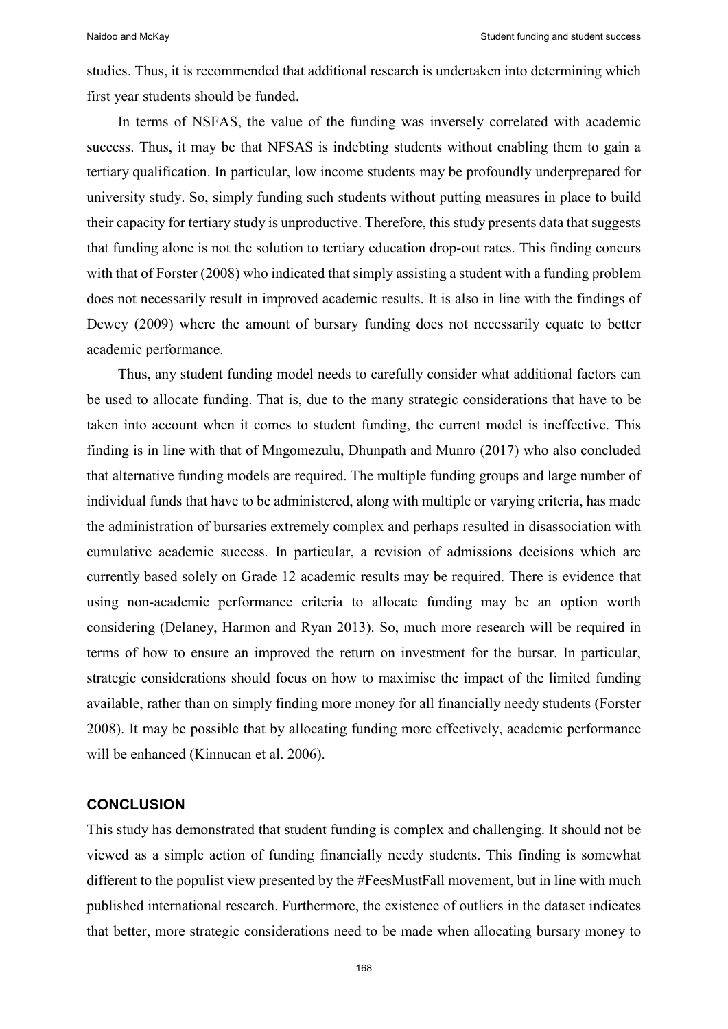studies. Thus, it is recommended that additional research is undertaken into determining which first year students should be funded.

In terms of NSFAS, the value of the funding was inversely correlated with academic success. Thus, it may be that NFSAS is indebting students without enabling them to gain a tertiary qualification. In particular, low income students may be profoundly underprepared for university study. So, simply funding such students without putting measures in place to build their capacity for tertiary study is unproductive. Therefore, this study presents data that suggests that funding alone is not the solution to tertiary education drop-out rates. This finding concurs with that of Forster (2008) who indicated that simply assisting a student with a funding problem does not necessarily result in improved academic results. It is also in line with the findings of Dewey (2009) where the amount of bursary funding does not necessarily equate to better academic performance.

Thus, any student funding model needs to carefully consider what additional factors can be used to allocate funding. That is, due to the many strategic considerations that have to be taken into account when it comes to student funding, the current model is ineffective. This finding is in line with that of Mngomezulu, Dhunpath and Munro (2017) who also concluded that alternative funding models are required. The multiple funding groups and large number of individual funds that have to be administered, along with multiple or varying criteria, has made the administration of bursaries extremely complex and perhaps resulted in disassociation with cumulative academic success. In particular, a revision of admissions decisions which are currently based solely on Grade 12 academic results may be required. There is evidence that using non-academic performance criteria to allocate funding may be an option worth considering (Delaney, Harmon and Ryan 2013). So, much more research will be required in terms of how to ensure an improved the return on investment for the bursar. In particular, strategic considerations should focus on how to maximise the impact of the limited funding available, rather than on simply finding more money for all financially needy students (Forster 2008). It may be possible that by allocating funding more effectively, academic performance will be enhanced (Kinnucan et al. 2006).

#### **CONCLUSION**

This study has demonstrated that student funding is complex and challenging. It should not be viewed as a simple action of funding financially needy students. This finding is somewhat different to the populist view presented by the #FeesMustFall movement, but in line with much published international research. Furthermore, the existence of outliers in the dataset indicates that better, more strategic considerations need to be made when allocating bursary money to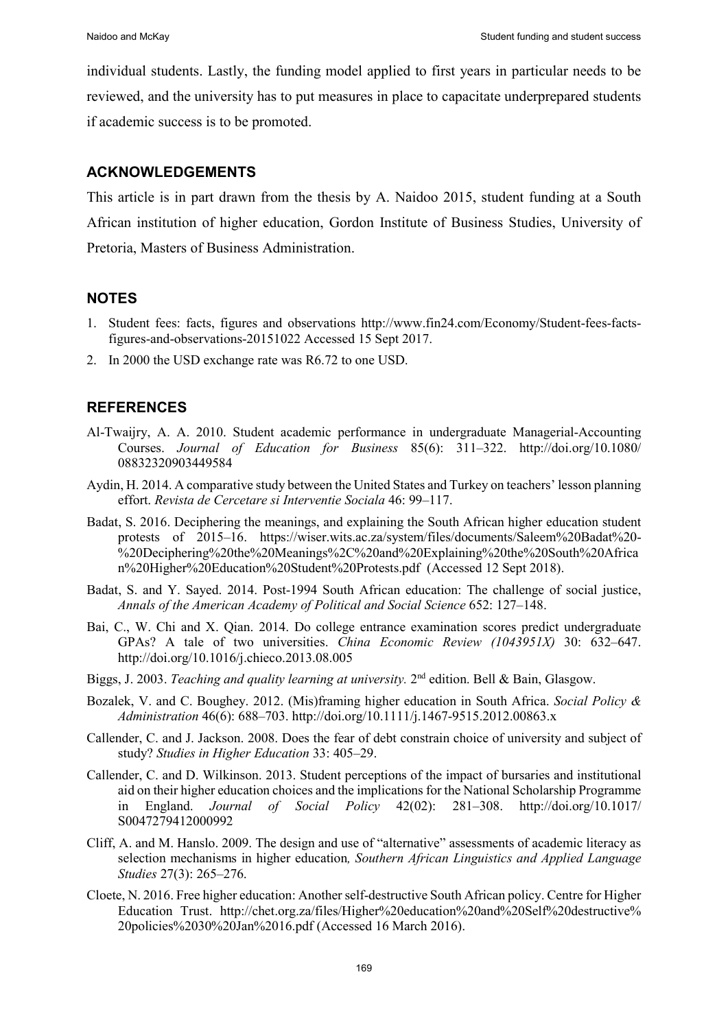individual students. Lastly, the funding model applied to first years in particular needs to be reviewed, and the university has to put measures in place to capacitate underprepared students if academic success is to be promoted.

## **ACKNOWLEDGEMENTS**

This article is in part drawn from the thesis by A. Naidoo 2015, student funding at a South African institution of higher education, Gordon Institute of Business Studies, University of Pretoria, Masters of Business Administration.

## **NOTES**

- 1. Student fees: facts, figures and observations http://www.fin24.com/Economy/Student-fees-factsfigures-and-observations-20151022 Accessed 15 Sept 2017.
- 2. In 2000 the USD exchange rate was R6.72 to one USD.

## **REFERENCES**

- Al-Twaijry, A. A. 2010. Student academic performance in undergraduate Managerial-Accounting Courses. *Journal of Education for Business* 85(6): 311–322. http://doi.org/10.1080/ 08832320903449584
- Aydin, H. 2014. A comparative study between the United States and Turkey on teachers' lesson planning effort. *Revista de Cercetare si Interventie Sociala* 46: 99-117.
- Badat, S. 2016. Deciphering the meanings, and explaining the South African higher education student protests of 2015–16. https://wiser.wits.ac.za/system/files/documents/Saleem%20Badat%20- %20Deciphering%20the%20Meanings%2C%20and%20Explaining%20the%20South%20Africa n%20Higher%20Education%20Student%20Protests.pdf (Accessed 12 Sept 2018).
- Badat, S. and Y. Sayed. 2014. Post-1994 South African education: The challenge of social justice, *Annals of the American Academy of Political and Social Science* 652: 127‒148.
- Bai, C., W. Chi and X. Qian. 2014. Do college entrance examination scores predict undergraduate GPAs? A tale of two universities. *China Economic Review (1043951X)* 30: 632–647. http://doi.org/10.1016/j.chieco.2013.08.005
- Biggs, J. 2003. *Teaching and quality learning at university.* 2nd edition. Bell & Bain, Glasgow.
- Bozalek, V. and C. Boughey. 2012. (Mis)framing higher education in South Africa. *Social Policy & Administration* 46(6): 688–703. http://doi.org/10.1111/j.1467-9515.2012.00863.x
- Callender, C. and J. Jackson. 2008. Does the fear of debt constrain choice of university and subject of study? *Studies in Higher Education* 33: 405–29.
- Callender, C. and D. Wilkinson. 2013. Student perceptions of the impact of bursaries and institutional aid on their higher education choices and the implications for the National Scholarship Programme in England. *Journal of Social Policy* 42(02): 281–308. http://doi.org/10.1017/ S0047279412000992
- Cliff, A. and M. Hanslo. 2009. The design and use of "alternative" assessments of academic literacy as selection mechanisms in higher education*, Southern African Linguistics and Applied Language Studies* 27(3): 265‒276.
- Cloete, N. 2016. Free higher education: Another self-destructive South African policy. Centre for Higher Education Trust. http://chet.org.za/files/Higher%20education%20and%20Self%20destructive% 20policies%2030%20Jan%2016.pdf (Accessed 16 March 2016).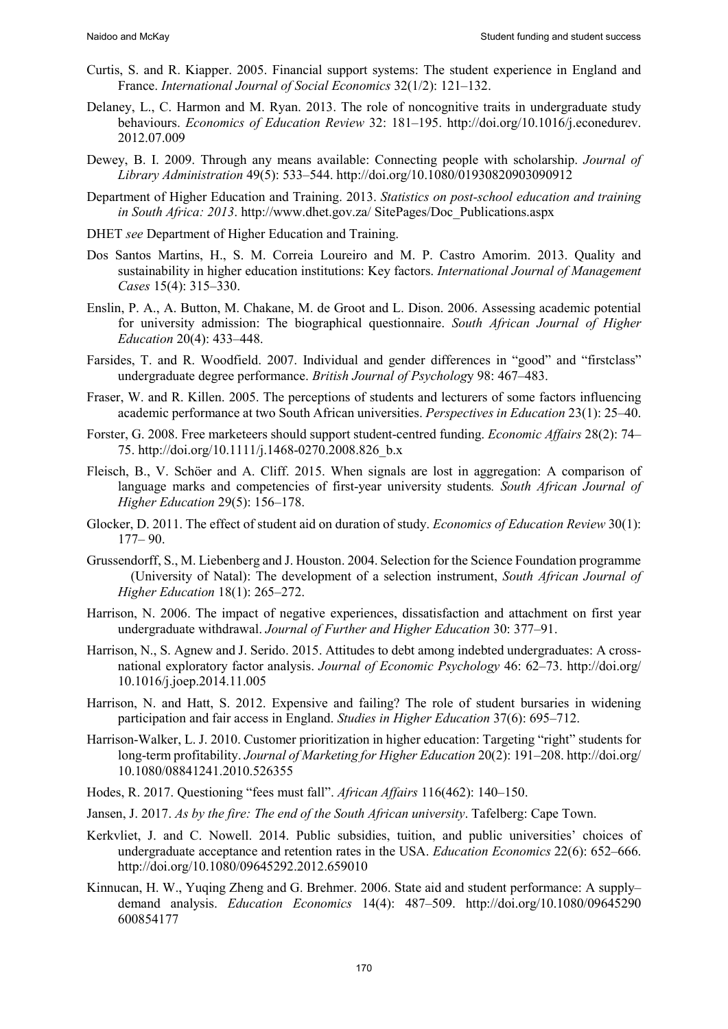- Curtis, S. and R. Kiapper. 2005. Financial support systems: The student experience in England and France. *International Journal of Social Economics* 32(1/2): 121–132.
- Delaney, L., C. Harmon and M. Ryan. 2013. The role of noncognitive traits in undergraduate study behaviours. *Economics of Education Review* 32: 181–195. http://doi.org/10.1016/j.econedurev. 2012.07.009
- Dewey, B. I. 2009. Through any means available: Connecting people with scholarship. *Journal of Library Administration* 49(5): 533–544. http://doi.org/10.1080/01930820903090912
- Department of Higher Education and Training. 2013. *Statistics on post-school education and training in South Africa: 2013*. http://www.dhet.gov.za/ SitePages/Doc\_Publications.aspx
- DHET *see* Department of Higher Education and Training.
- Dos Santos Martins, H., S. M. Correia Loureiro and M. P. Castro Amorim. 2013. Quality and sustainability in higher education institutions: Key factors. *International Journal of Management Cases* 15(4): 315–330.
- Enslin, P. A., A. Button, M. Chakane, M. de Groot and L. Dison. 2006. Assessing academic potential for university admission: The biographical questionnaire. *South African Journal of Higher Education* 20(4): 433–448.
- Farsides, T. and R. Woodfield. 2007. Individual and gender differences in "good" and "firstclass" undergraduate degree performance. *British Journal of Psycholog*y 98: 467–483.
- Fraser, W. and R. Killen. 2005. The perceptions of students and lecturers of some factors influencing academic performance at two South African universities. *Perspectives in Education* 23(1): 25–40.
- Forster, G. 2008. Free marketeers should support student-centred funding. *Economic Affairs* 28(2): 74– 75. http://doi.org/10.1111/j.1468-0270.2008.826\_b.x
- Fleisch, B., V. Schöer and A. Cliff. 2015. When signals are lost in aggregation: A comparison of language marks and competencies of first-year university students*. South African Journal of Higher Education* 29(5): 156–178.
- Glocker, D. 2011. The effect of student aid on duration of study. *Economics of Education Review* 30(1): 177– 90.
- Grussendorff, S., M. Liebenberg and J. Houston. 2004. Selection for the Science Foundation programme (University of Natal): The development of a selection instrument, *South African Journal of Higher Education* 18(1): 265–272.
- Harrison, N. 2006. The impact of negative experiences, dissatisfaction and attachment on first year undergraduate withdrawal. *Journal of Further and Higher Education* 30: 377–91.
- Harrison, N., S. Agnew and J. Serido. 2015. Attitudes to debt among indebted undergraduates: A crossnational exploratory factor analysis. *Journal of Economic Psychology* 46: 62–73. http://doi.org/ 10.1016/j.joep.2014.11.005
- Harrison, N. and Hatt, S. 2012. Expensive and failing? The role of student bursaries in widening participation and fair access in England. *Studies in Higher Education* 37(6): 695‒712.
- Harrison-Walker, L. J. 2010. Customer prioritization in higher education: Targeting "right" students for long-term profitability. *Journal of Marketing for Higher Education* 20(2): 191–208. http://doi.org/ 10.1080/08841241.2010.526355
- Hodes, R. 2017. Questioning "fees must fall". *African Affairs* 116(462): 140‒150.
- Jansen, J. 2017. *As by the fire: The end of the South African university*. Tafelberg: Cape Town.
- Kerkvliet, J. and C. Nowell. 2014. Public subsidies, tuition, and public universities' choices of undergraduate acceptance and retention rates in the USA. *Education Economics* 22(6): 652–666. http://doi.org/10.1080/09645292.2012.659010
- Kinnucan, H. W., Yuqing Zheng and G. Brehmer. 2006. State aid and student performance: A supply– demand analysis. *Education Economics* 14(4): 487–509. http://doi.org/10.1080/09645290 600854177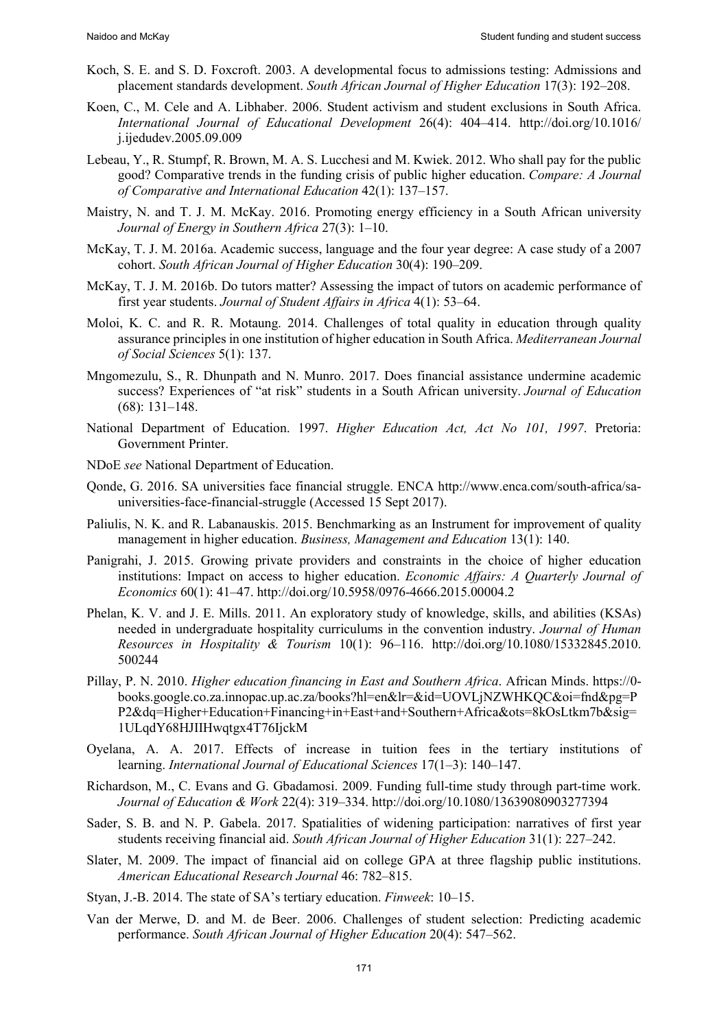- Koch, S. E. and S. D. Foxcroft. 2003. A developmental focus to admissions testing: Admissions and placement standards development. *South African Journal of Higher Education* 17(3): 192‒208.
- Koen, C., M. Cele and A. Libhaber. 2006. Student activism and student exclusions in South Africa. *International Journal of Educational Development* 26(4): 404–414. http://doi.org/10.1016/ j.ijedudev.2005.09.009
- Lebeau, Y., R. Stumpf, R. Brown, M. A. S. Lucchesi and M. Kwiek. 2012. Who shall pay for the public good? Comparative trends in the funding crisis of public higher education. *Compare: A Journal of Comparative and International Education* 42(1): 137‒157.
- Maistry, N. and T. J. M. McKay. 2016. Promoting energy efficiency in a South African university *Journal of Energy in Southern Africa* 27(3): 1–10.
- McKay, T. J. M. 2016a. Academic success, language and the four year degree: A case study of a 2007 cohort. *South African Journal of Higher Education* 30(4): 190–209.
- McKay, T. J. M. 2016b. Do tutors matter? Assessing the impact of tutors on academic performance of first year students. *Journal of Student Affairs in Africa* 4(1): 53–64.
- Moloi, K. C. and R. R. Motaung. 2014. Challenges of total quality in education through quality assurance principles in one institution of higher education in South Africa. *Mediterranean Journal of Social Sciences* 5(1): 137.
- Mngomezulu, S., R. Dhunpath and N. Munro. 2017. Does financial assistance undermine academic success? Experiences of "at risk" students in a South African university. *Journal of Education*  $(68): 131 - 148.$
- National Department of Education. 1997. *Higher Education Act, Act No 101, 1997*. Pretoria: Government Printer.
- NDoE *see* National Department of Education.
- Qonde, G. 2016. SA universities face financial struggle. ENCA http://www.enca.com/south-africa/sauniversities-face-financial-struggle (Accessed 15 Sept 2017).
- Paliulis, N. K. and R. Labanauskis. 2015. Benchmarking as an Instrument for improvement of quality management in higher education. *Business, Management and Education* 13(1): 140.
- Panigrahi, J. 2015. Growing private providers and constraints in the choice of higher education institutions: Impact on access to higher education. *Economic Affairs: A Quarterly Journal of Economics* 60(1): 41–47. http://doi.org/10.5958/0976-4666.2015.00004.2
- Phelan, K. V. and J. E. Mills. 2011. An exploratory study of knowledge, skills, and abilities (KSAs) needed in undergraduate hospitality curriculums in the convention industry. *Journal of Human Resources in Hospitality & Tourism* 10(1): 96–116. http://doi.org/10.1080/15332845.2010. 500244
- Pillay, P. N. 2010. *Higher education financing in East and Southern Africa*. African Minds. https://0 books.google.co.za.innopac.up.ac.za/books?hl=en&lr=&id=UOVLjNZWHKQC&oi=fnd&pg=P P2&dq=Higher+Education+Financing+in+East+and+Southern+Africa&ots=8kOsLtkm7b&sig= 1ULqdY68HJIIHwqtgx4T76IjckM
- Oyelana, A. A. 2017. Effects of increase in tuition fees in the tertiary institutions of learning. *International Journal of Educational Sciences* 17(1–3): 140–147.
- Richardson, M., C. Evans and G. Gbadamosi. 2009. Funding full-time study through part-time work. *Journal of Education & Work* 22(4): 319–334. http://doi.org/10.1080/13639080903277394
- Sader, S. B. and N. P. Gabela. 2017. Spatialities of widening participation: narratives of first year students receiving financial aid. *South African Journal of Higher Education* 31(1): 227–242.
- Slater, M. 2009. The impact of financial aid on college GPA at three flagship public institutions. *American Educational Research Journal* 46: 782–815.
- Styan, J.-B. 2014. The state of SA's tertiary education. *Finweek*: 10–15.
- Van der Merwe, D. and M. de Beer. 2006. Challenges of student selection: Predicting academic performance. *South African Journal of Higher Education* 20(4): 547-562.